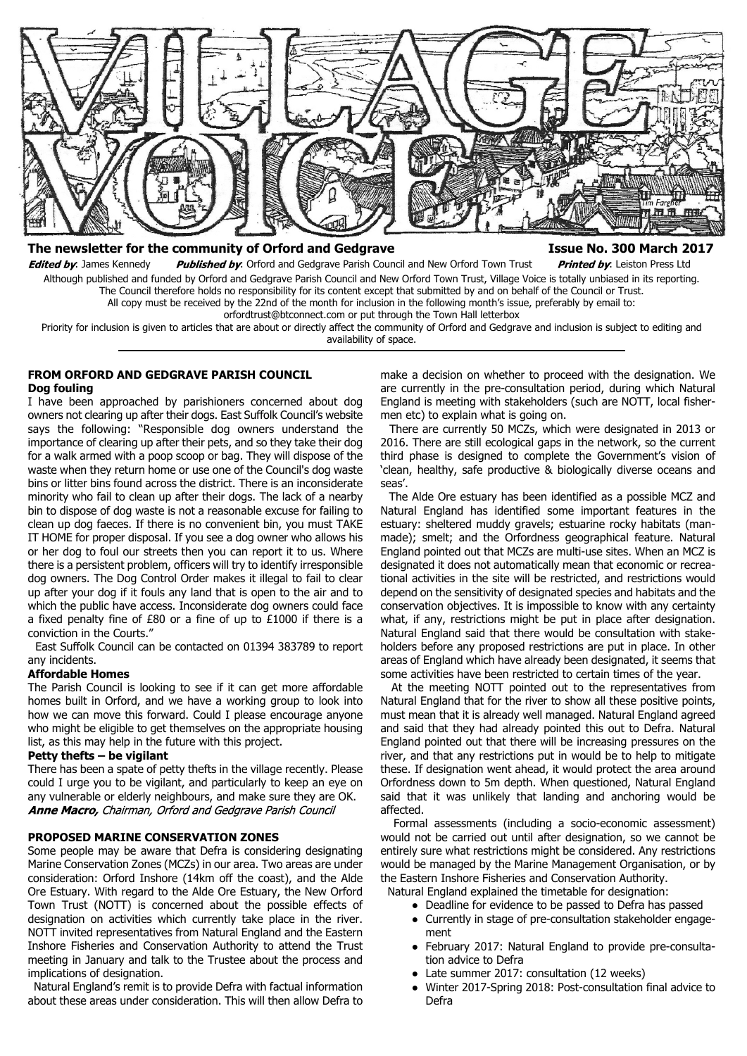

# The newsletter for the community of Orford and Gedgrave **Internal 2017** and Superias Resume No. 300 March 2017

Edited by: James Kennedy Published by: Orford and Gedgrave Parish Council and New Orford Town Trust Printed by: Leiston Press Ltd Although published and funded by Orford and Gedgrave Parish Council and New Orford Town Trust, Village Voice is totally unbiased in its reporting. The Council therefore holds no responsibility for its content except that submitted by and on behalf of the Council or Trust. All copy must be received by the 22nd of the month for inclusion in the following month's issue, preferably by email to: orfordtrust@btconnect.com or put through the Town Hall letterbox

Priority for inclusion is given to articles that are about or directly affect the community of Orford and Gedgrave and inclusion is subject to editing and availability of space.

#### **FROM ORFORD AND GEDGRAVE PARISH COUNCIL Dog fouling**

I have been approached by parishioners concerned about dog owners not clearing up after their dogs. East Suffolk Council's website says the following: "Responsible dog owners understand the importance of clearing up after their pets, and so they take their dog for a walk armed with a poop scoop or bag. They will dispose of the waste when they return home or use one of the Council's dog waste bins or litter bins found across the district. There is an inconsiderate minority who fail to clean up after their dogs. The lack of a nearby bin to dispose of dog waste is not a reasonable excuse for failing to clean up dog faeces. If there is no convenient bin, you must TAKE IT HOME for proper disposal. If you see a dog owner who allows his or her dog to foul our streets then you can report it to us. Where there is a persistent problem, officers will try to identify irresponsible dog owners. The Dog Control Order makes it illegal to fail to clear up after your dog if it fouls any land that is open to the air and to which the public have access. Inconsiderate dog owners could face a fixed penalty fine of £80 or a fine of up to £1000 if there is a conviction in the Courts."

 East Suffolk Council can be contacted on 01394 383789 to report any incidents.

## **Affordable Homes**

The Parish Council is looking to see if it can get more affordable homes built in Orford, and we have a working group to look into how we can move this forward. Could I please encourage anyone who might be eligible to get themselves on the appropriate housing list, as this may help in the future with this project.

#### **Petty thefts – be vigilant**

There has been a spate of petty thefts in the village recently. Please could I urge you to be vigilant, and particularly to keep an eye on any vulnerable or elderly neighbours, and make sure they are OK. Anne Macro, Chairman, Orford and Gedgrave Parish Council

#### **PROPOSED MARINE CONSERVATION ZONES**

Some people may be aware that Defra is considering designating Marine Conservation Zones (MCZs) in our area. Two areas are under consideration: Orford Inshore (14km off the coast), and the Alde Ore Estuary. With regard to the Alde Ore Estuary, the New Orford Town Trust (NOTT) is concerned about the possible effects of designation on activities which currently take place in the river. NOTT invited representatives from Natural England and the Eastern Inshore Fisheries and Conservation Authority to attend the Trust meeting in January and talk to the Trustee about the process and implications of designation.

 Natural England's remit is to provide Defra with factual information about these areas under consideration. This will then allow Defra to

make a decision on whether to proceed with the designation. We are currently in the pre-consultation period, during which Natural England is meeting with stakeholders (such are NOTT, local fishermen etc) to explain what is going on.

 There are currently 50 MCZs, which were designated in 2013 or 2016. There are still ecological gaps in the network, so the current third phase is designed to complete the Government's vision of 'clean, healthy, safe productive & biologically diverse oceans and seas'.

 The Alde Ore estuary has been identified as a possible MCZ and Natural England has identified some important features in the estuary: sheltered muddy gravels; estuarine rocky habitats (manmade); smelt; and the Orfordness geographical feature. Natural England pointed out that MCZs are multi-use sites. When an MCZ is designated it does not automatically mean that economic or recreational activities in the site will be restricted, and restrictions would depend on the sensitivity of designated species and habitats and the conservation objectives. It is impossible to know with any certainty what, if any, restrictions might be put in place after designation. Natural England said that there would be consultation with stakeholders before any proposed restrictions are put in place. In other areas of England which have already been designated, it seems that some activities have been restricted to certain times of the year.

 At the meeting NOTT pointed out to the representatives from Natural England that for the river to show all these positive points, must mean that it is already well managed. Natural England agreed and said that they had already pointed this out to Defra. Natural England pointed out that there will be increasing pressures on the river, and that any restrictions put in would be to help to mitigate these. If designation went ahead, it would protect the area around Orfordness down to 5m depth. When questioned, Natural England said that it was unlikely that landing and anchoring would be affected.

 Formal assessments (including a socio-economic assessment) would not be carried out until after designation, so we cannot be entirely sure what restrictions might be considered. Any restrictions would be managed by the Marine Management Organisation, or by the Eastern Inshore Fisheries and Conservation Authority.

Natural England explained the timetable for designation:

- Deadline for evidence to be passed to Defra has passed
- Currently in stage of pre-consultation stakeholder engagement
- February 2017: Natural England to provide pre-consultation advice to Defra
- Late summer 2017: consultation (12 weeks)
- Winter 2017-Spring 2018: Post-consultation final advice to Defra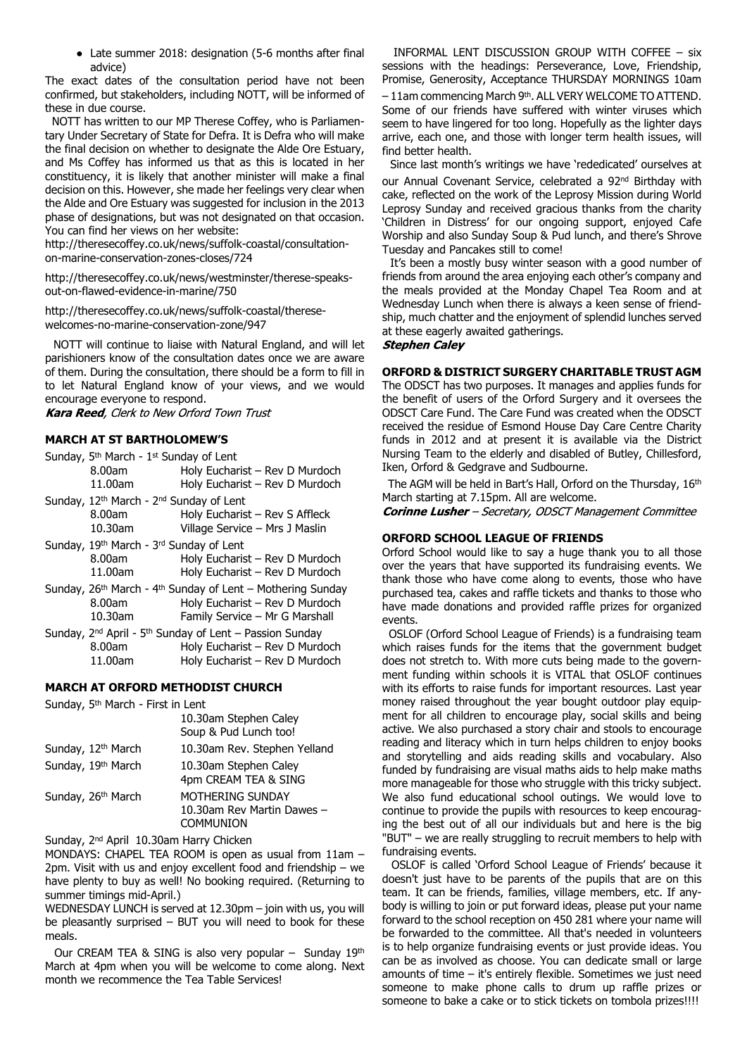● Late summer 2018: designation (5-6 months after final advice)

The exact dates of the consultation period have not been confirmed, but stakeholders, including NOTT, will be informed of these in due course.

 NOTT has written to our MP Therese Coffey, who is Parliamentary Under Secretary of State for Defra. It is Defra who will make the final decision on whether to designate the Alde Ore Estuary, and Ms Coffey has informed us that as this is located in her constituency, it is likely that another minister will make a final decision on this. However, she made her feelings very clear when the Alde and Ore Estuary was suggested for inclusion in the 2013 phase of designations, but was not designated on that occasion. You can find her views on her website:

http://theresecoffey.co.uk/news/suffolk-coastal/consultationon-marine-conservation-zones-closes/724

http://theresecoffey.co.uk/news/westminster/therese-speaksout-on-flawed-evidence-in-marine/750

http://theresecoffey.co.uk/news/suffolk-coastal/theresewelcomes-no-marine-conservation-zone/947

 NOTT will continue to liaise with Natural England, and will let parishioners know of the consultation dates once we are aware of them. During the consultation, there should be a form to fill in to let Natural England know of your views, and we would encourage everyone to respond.

**Kara Reed**, Clerk to New Orford Town Trust

# **MARCH AT ST BARTHOLOMEW'S**

|                                                                                    | Sunday, 5 <sup>th</sup> March - 1 <sup>st</sup> Sunday of Lent                  |                                |  |
|------------------------------------------------------------------------------------|---------------------------------------------------------------------------------|--------------------------------|--|
|                                                                                    | 8.00am                                                                          | Holy Eucharist - Rev D Murdoch |  |
|                                                                                    | 11.00am                                                                         | Holy Eucharist - Rev D Murdoch |  |
|                                                                                    | Sunday, 12 <sup>th</sup> March - 2 <sup>nd</sup> Sunday of Lent                 |                                |  |
|                                                                                    | 8.00am                                                                          | Holy Eucharist - Rev S Affleck |  |
|                                                                                    | 10.30am                                                                         | Village Service - Mrs J Maslin |  |
|                                                                                    | Sunday, 19th March - 3rd Sunday of Lent                                         |                                |  |
|                                                                                    | 8.00am                                                                          | Holy Eucharist - Rev D Murdoch |  |
|                                                                                    | 11.00am                                                                         | Holy Eucharist - Rev D Murdoch |  |
| Sunday, 26 <sup>th</sup> March - 4 <sup>th</sup> Sunday of Lent – Mothering Sunday |                                                                                 |                                |  |
|                                                                                    | 8.00am                                                                          | Holy Eucharist - Rev D Murdoch |  |
|                                                                                    | 10.30am                                                                         | Family Service - Mr G Marshall |  |
|                                                                                    | Sunday, 2 <sup>nd</sup> April - 5 <sup>th</sup> Sunday of Lent - Passion Sunday |                                |  |
|                                                                                    | 8.00am                                                                          | Holy Eucharist - Rev D Murdoch |  |
|                                                                                    | 11.00am                                                                         | Holy Eucharist - Rev D Murdoch |  |
|                                                                                    |                                                                                 |                                |  |

## **MARCH AT ORFORD METHODIST CHURCH**

Sunday, 5th March - First in Lent

|                                | 10.30am Stephen Caley<br>Soup & Pud Lunch too!                     |
|--------------------------------|--------------------------------------------------------------------|
| Sunday, 12 <sup>th</sup> March | 10.30am Rev. Stephen Yelland                                       |
| Sunday, 19th March             | 10.30am Stephen Caley<br>4pm CREAM TEA & SING                      |
| Sunday, 26 <sup>th</sup> March | MOTHERING SUNDAY<br>10.30am Rev Martin Dawes -<br><b>COMMUNION</b> |

Sunday, 2nd April 10.30am Harry Chicken

MONDAYS: CHAPEL TEA ROOM is open as usual from 11am – 2pm. Visit with us and enjoy excellent food and friendship – we have plenty to buy as well! No booking required. (Returning to summer timings mid-April.)

WEDNESDAY LUNCH is served at 12.30pm – join with us, you will be pleasantly surprised – BUT you will need to book for these meals.

Our CREAM TEA & SING is also very popular - Sunday 19th March at 4pm when you will be welcome to come along. Next month we recommence the Tea Table Services!

 INFORMAL LENT DISCUSSION GROUP WITH COFFEE – six sessions with the headings: Perseverance, Love, Friendship, Promise, Generosity, Acceptance THURSDAY MORNINGS 10am – 11am commencing March 9th. ALL VERY WELCOME TO ATTEND. Some of our friends have suffered with winter viruses which seem to have lingered for too long. Hopefully as the lighter days arrive, each one, and those with longer term health issues, will find better health.

 Since last month's writings we have 'rededicated' ourselves at our Annual Covenant Service, celebrated a 92<sup>nd</sup> Birthday with cake, reflected on the work of the Leprosy Mission during World Leprosy Sunday and received gracious thanks from the charity 'Children in Distress' for our ongoing support, enjoyed Cafe Worship and also Sunday Soup & Pud lunch, and there's Shrove Tuesday and Pancakes still to come!

 It's been a mostly busy winter season with a good number of friends from around the area enjoying each other's company and the meals provided at the Monday Chapel Tea Room and at Wednesday Lunch when there is always a keen sense of friendship, much chatter and the enjoyment of splendid lunches served at these eagerly awaited gatherings.

## **Stephen Caley**

# **ORFORD & DISTRICT SURGERY CHARITABLE TRUST AGM**

The ODSCT has two purposes. It manages and applies funds for the benefit of users of the Orford Surgery and it oversees the ODSCT Care Fund. The Care Fund was created when the ODSCT received the residue of Esmond House Day Care Centre Charity funds in 2012 and at present it is available via the District Nursing Team to the elderly and disabled of Butley, Chillesford, Iken, Orford & Gedgrave and Sudbourne.

The AGM will be held in Bart's Hall, Orford on the Thursday, 16th March starting at 7.15pm. All are welcome.

**Corinne Lusher** - Secretary, ODSCT Management Committee

# **ORFORD SCHOOL LEAGUE OF FRIENDS**

Orford School would like to say a huge thank you to all those over the years that have supported its fundraising events. We thank those who have come along to events, those who have purchased tea, cakes and raffle tickets and thanks to those who have made donations and provided raffle prizes for organized events.

 OSLOF (Orford School League of Friends) is a fundraising team which raises funds for the items that the government budget does not stretch to. With more cuts being made to the government funding within schools it is VITAL that OSLOF continues with its efforts to raise funds for important resources. Last year money raised throughout the year bought outdoor play equipment for all children to encourage play, social skills and being active. We also purchased a story chair and stools to encourage reading and literacy which in turn helps children to enjoy books and storytelling and aids reading skills and vocabulary. Also funded by fundraising are visual maths aids to help make maths more manageable for those who struggle with this tricky subject. We also fund educational school outings. We would love to continue to provide the pupils with resources to keep encouraging the best out of all our individuals but and here is the big "BUT" – we are really struggling to recruit members to help with fundraising events.

 OSLOF is called 'Orford School League of Friends' because it doesn't just have to be parents of the pupils that are on this team. It can be friends, families, village members, etc. If anybody is willing to join or put forward ideas, please put your name forward to the school reception on 450 281 where your name will be forwarded to the committee. All that's needed in volunteers is to help organize fundraising events or just provide ideas. You can be as involved as choose. You can dedicate small or large amounts of time – it's entirely flexible. Sometimes we just need someone to make phone calls to drum up raffle prizes or someone to bake a cake or to stick tickets on tombola prizes!!!!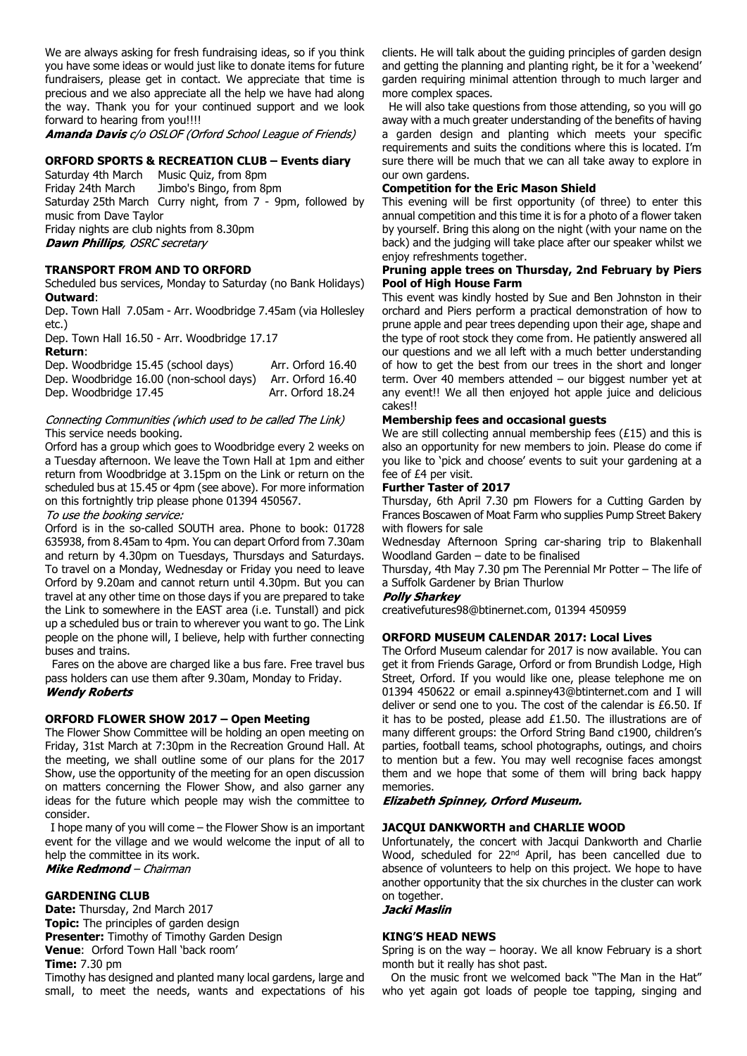We are always asking for fresh fundraising ideas, so if you think you have some ideas or would just like to donate items for future fundraisers, please get in contact. We appreciate that time is precious and we also appreciate all the help we have had along the way. Thank you for your continued support and we look forward to hearing from you!!!!

**Amanda Davis** c/o OSLOF (Orford School League of Friends)

## **ORFORD SPORTS & RECREATION CLUB – Events diary**

Saturday 4th March Music Quiz, from 8pm Friday 24th March Jimbo's Bingo, from 8pm Saturday 25th March Curry night, from 7 - 9pm, followed by music from Dave Taylor Friday nights are club nights from 8.30pm **Dawn Phillips**, OSRC secretary

# **TRANSPORT FROM AND TO ORFORD**

Scheduled bus services, Monday to Saturday (no Bank Holidays) **Outward**:

Dep. Town Hall 7.05am - Arr. Woodbridge 7.45am (via Hollesley etc.)

Dep. Town Hall 16.50 - Arr. Woodbridge 17.17 **Return**:

|                       | Dep. Woodbridge 15.45 (school days)     | Arr. Orford 16.40 |
|-----------------------|-----------------------------------------|-------------------|
|                       | Dep. Woodbridge 16.00 (non-school days) | Arr. Orford 16.40 |
| Dep. Woodbridge 17.45 |                                         | Arr. Orford 18.24 |

#### Connecting Communities (which used to be called The Link) This service needs booking.

Orford has a group which goes to Woodbridge every 2 weeks on a Tuesday afternoon. We leave the Town Hall at 1pm and either return from Woodbridge at 3.15pm on the Link or return on the scheduled bus at 15.45 or 4pm (see above). For more information on this fortnightly trip please phone 01394 450567.

To use the booking service:

Orford is in the so-called SOUTH area. Phone to book: 01728 635938, from 8.45am to 4pm. You can depart Orford from 7.30am and return by 4.30pm on Tuesdays, Thursdays and Saturdays. To travel on a Monday, Wednesday or Friday you need to leave Orford by 9.20am and cannot return until 4.30pm. But you can travel at any other time on those days if you are prepared to take the Link to somewhere in the EAST area (i.e. Tunstall) and pick up a scheduled bus or train to wherever you want to go. The Link people on the phone will, I believe, help with further connecting buses and trains.

 Fares on the above are charged like a bus fare. Free travel bus pass holders can use them after 9.30am, Monday to Friday. **Wendy Roberts** 

## **ORFORD FLOWER SHOW 2017 – Open Meeting**

The Flower Show Committee will be holding an open meeting on Friday, 31st March at 7:30pm in the Recreation Ground Hall. At the meeting, we shall outline some of our plans for the 2017 Show, use the opportunity of the meeting for an open discussion on matters concerning the Flower Show, and also garner any ideas for the future which people may wish the committee to consider.

 I hope many of you will come – the Flower Show is an important event for the village and we would welcome the input of all to help the committee in its work. Mike Redmond - Chairman

#### **GARDENING CLUB**

**Date:** Thursday, 2nd March 2017 **Topic:** The principles of garden design **Presenter:** Timothy of Timothy Garden Design **Venue**: Orford Town Hall 'back room' **Time:** 7.30 pm

Timothy has designed and planted many local gardens, large and small, to meet the needs, wants and expectations of his clients. He will talk about the guiding principles of garden design and getting the planning and planting right, be it for a 'weekend' garden requiring minimal attention through to much larger and more complex spaces.

 He will also take questions from those attending, so you will go away with a much greater understanding of the benefits of having a garden design and planting which meets your specific requirements and suits the conditions where this is located. I'm sure there will be much that we can all take away to explore in our own gardens.

#### **Competition for the Eric Mason Shield**

This evening will be first opportunity (of three) to enter this annual competition and this time it is for a photo of a flower taken by yourself. Bring this along on the night (with your name on the back) and the judging will take place after our speaker whilst we enjoy refreshments together.

## **Pruning apple trees on Thursday, 2nd February by Piers Pool of High House Farm**

This event was kindly hosted by Sue and Ben Johnston in their orchard and Piers perform a practical demonstration of how to prune apple and pear trees depending upon their age, shape and the type of root stock they come from. He patiently answered all our questions and we all left with a much better understanding of how to get the best from our trees in the short and longer term. Over 40 members attended – our biggest number yet at any event!! We all then enjoyed hot apple juice and delicious cakes!!

# **Membership fees and occasional guests**

We are still collecting annual membership fees (£15) and this is also an opportunity for new members to join. Please do come if you like to 'pick and choose' events to suit your gardening at a fee of £4 per visit.

#### **Further Taster of 2017**

Thursday, 6th April 7.30 pm Flowers for a Cutting Garden by Frances Boscawen of Moat Farm who supplies Pump Street Bakery with flowers for sale

Wednesday Afternoon Spring car-sharing trip to Blakenhall Woodland Garden – date to be finalised

Thursday, 4th May 7.30 pm The Perennial Mr Potter – The life of a Suffolk Gardener by Brian Thurlow

#### **Polly Sharkey**

creativefutures98@btinernet.com, 01394 450959

# **ORFORD MUSEUM CALENDAR 2017: Local Lives**

The Orford Museum calendar for 2017 is now available. You can get it from Friends Garage, Orford or from Brundish Lodge, High Street, Orford. If you would like one, please telephone me on 01394 450622 or email a.spinney43@btinternet.com and I will deliver or send one to you. The cost of the calendar is £6.50. If it has to be posted, please add £1.50. The illustrations are of many different groups: the Orford String Band c1900, children's parties, football teams, school photographs, outings, and choirs to mention but a few. You may well recognise faces amongst them and we hope that some of them will bring back happy memories.

## **Elizabeth Spinney, Orford Museum.**

## **JACQUI DANKWORTH and CHARLIE WOOD**

Unfortunately, the concert with Jacqui Dankworth and Charlie Wood, scheduled for 22<sup>nd</sup> April, has been cancelled due to absence of volunteers to help on this project. We hope to have another opportunity that the six churches in the cluster can work on together.

# Jacki Maslin

## **KING'S HEAD NEWS**

Spring is on the way – hooray. We all know February is a short month but it really has shot past.

 On the music front we welcomed back "The Man in the Hat" who yet again got loads of people toe tapping, singing and